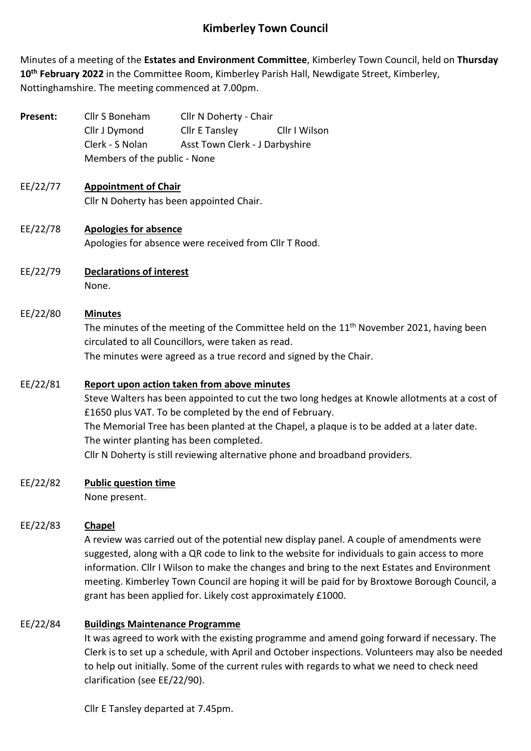# **Kimberley Town Council**

Minutes of a meeting of the **Estates and Environment Committee**, Kimberley Town Council, held on **Thursday 10th February 2022** in the Committee Room, Kimberley Parish Hall, Newdigate Street, Kimberley, Nottinghamshire. The meeting commenced at 7.00pm.

| Present: | Cllr S Boneham               | Cllr N Doherty - Chair         |               |
|----------|------------------------------|--------------------------------|---------------|
|          | Cllr J Dymond                | Cllr E Tansley                 | Cllr I Wilson |
|          | Clerk - S Nolan              | Asst Town Clerk - J Darbyshire |               |
|          | Members of the public - None |                                |               |

#### EE/22/77 **Appointment of Chair** Cllr N Doherty has been appointed Chair.

- EE/22/78 **Apologies for absence** Apologies for absence were received from Cllr T Rood.
- EE/22/79 **Declarations of interest** None.

# EE/22/80 **Minutes**

The minutes of the meeting of the Committee held on the 11<sup>th</sup> November 2021, having been circulated to all Councillors, were taken as read.

The minutes were agreed as a true record and signed by the Chair.

## EE/22/81 **Report upon action taken from above minutes**

Steve Walters has been appointed to cut the two long hedges at Knowle allotments at a cost of £1650 plus VAT. To be completed by the end of February. The Memorial Tree has been planted at the Chapel, a plaque is to be added at a later date. The winter planting has been completed. Cllr N Doherty is still reviewing alternative phone and broadband providers.

## EE/22/82 **Public question time**

None present.

## EE/22/83 **Chapel**

A review was carried out of the potential new display panel. A couple of amendments were suggested, along with a QR code to link to the website for individuals to gain access to more information. Cllr I Wilson to make the changes and bring to the next Estates and Environment meeting. Kimberley Town Council are hoping it will be paid for by Broxtowe Borough Council, a grant has been applied for. Likely cost approximately £1000.

## EE/22/84 **Buildings Maintenance Programme**

It was agreed to work with the existing programme and amend going forward if necessary. The Clerk is to set up a schedule, with April and October inspections. Volunteers may also be needed to help out initially. Some of the current rules with regards to what we need to check need clarification (see EE/22/90).

Cllr E Tansley departed at 7.45pm.